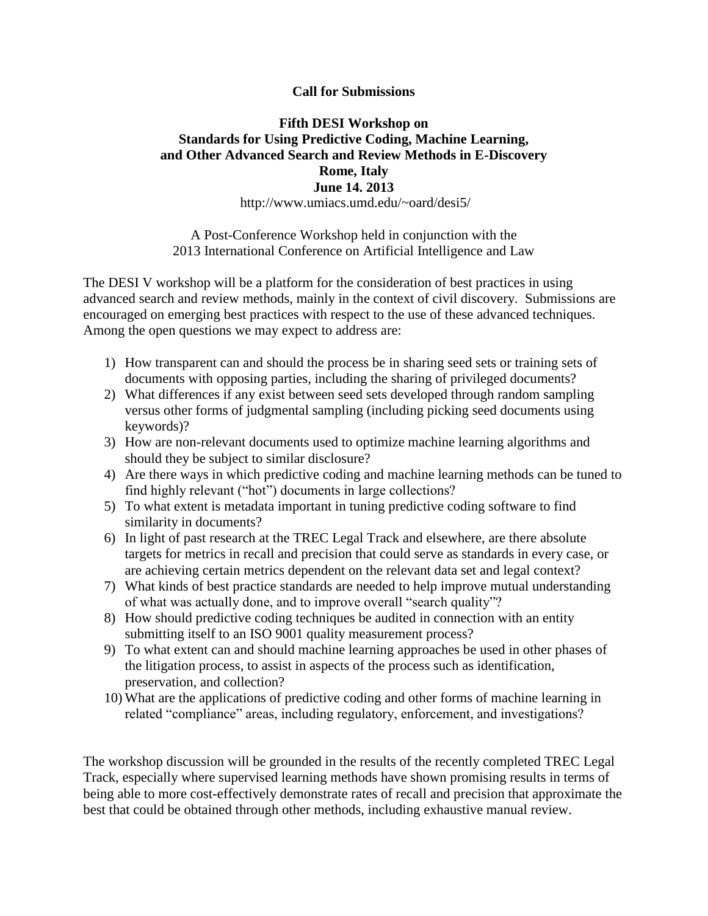## **Call for Submissions**

## **Fifth DESI Workshop on Standards for Using Predictive Coding, Machine Learning, and Other Advanced Search and Review Methods in E-Discovery Rome, Italy June 14. 2013**

http://www.umiacs.umd.edu/~oard/desi5/

A Post-Conference Workshop held in conjunction with the 2013 International Conference on Artificial Intelligence and Law

The DESI V workshop will be a platform for the consideration of best practices in using advanced search and review methods, mainly in the context of civil discovery. Submissions are encouraged on emerging best practices with respect to the use of these advanced techniques. Among the open questions we may expect to address are:

- 1) How transparent can and should the process be in sharing seed sets or training sets of documents with opposing parties, including the sharing of privileged documents?
- 2) What differences if any exist between seed sets developed through random sampling versus other forms of judgmental sampling (including picking seed documents using keywords)?
- 3) How are non-relevant documents used to optimize machine learning algorithms and should they be subject to similar disclosure?
- 4) Are there ways in which predictive coding and machine learning methods can be tuned to find highly relevant ("hot") documents in large collections?
- 5) To what extent is metadata important in tuning predictive coding software to find similarity in documents?
- 6) In light of past research at the TREC Legal Track and elsewhere, are there absolute targets for metrics in recall and precision that could serve as standards in every case, or are achieving certain metrics dependent on the relevant data set and legal context?
- 7) What kinds of best practice standards are needed to help improve mutual understanding of what was actually done, and to improve overall "search quality"?
- 8) How should predictive coding techniques be audited in connection with an entity submitting itself to an ISO 9001 quality measurement process?
- 9) To what extent can and should machine learning approaches be used in other phases of the litigation process, to assist in aspects of the process such as identification, preservation, and collection?
- 10) What are the applications of predictive coding and other forms of machine learning in related "compliance" areas, including regulatory, enforcement, and investigations?

The workshop discussion will be grounded in the results of the recently completed TREC Legal Track, especially where supervised learning methods have shown promising results in terms of being able to more cost-effectively demonstrate rates of recall and precision that approximate the best that could be obtained through other methods, including exhaustive manual review.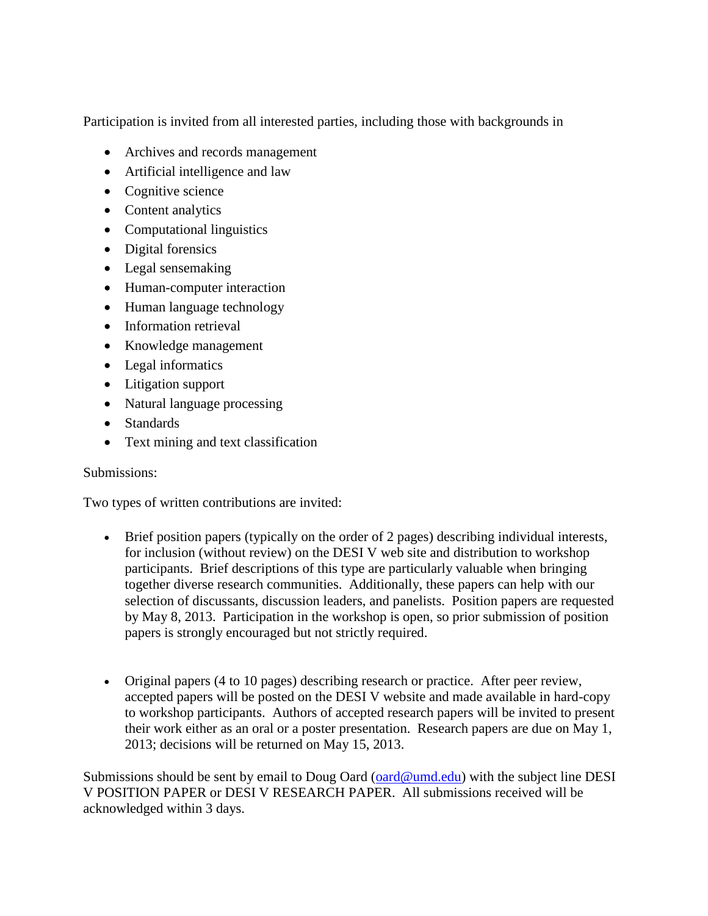Participation is invited from all interested parties, including those with backgrounds in

- Archives and records management
- Artificial intelligence and law
- Cognitive science
- Content analytics
- Computational linguistics
- Digital forensics
- Legal sensemaking
- Human-computer interaction
- Human language technology
- Information retrieval
- Knowledge management
- Legal informatics
- Litigation support
- Natural language processing
- Standards
- Text mining and text classification

## Submissions:

Two types of written contributions are invited:

- Brief position papers (typically on the order of 2 pages) describing individual interests, for inclusion (without review) on the DESI V web site and distribution to workshop participants. Brief descriptions of this type are particularly valuable when bringing together diverse research communities. Additionally, these papers can help with our selection of discussants, discussion leaders, and panelists. Position papers are requested by May 8, 2013. Participation in the workshop is open, so prior submission of position papers is strongly encouraged but not strictly required.
- Original papers (4 to 10 pages) describing research or practice. After peer review, accepted papers will be posted on the DESI V website and made available in hard-copy to workshop participants. Authors of accepted research papers will be invited to present their work either as an oral or a poster presentation. Research papers are due on May 1, 2013; decisions will be returned on May 15, 2013.

Submissions should be sent by email to Doug Oard [\(oard@umd.edu\)](mailto:oard@umd.edu) with the subject line DESI V POSITION PAPER or DESI V RESEARCH PAPER. All submissions received will be acknowledged within 3 days.